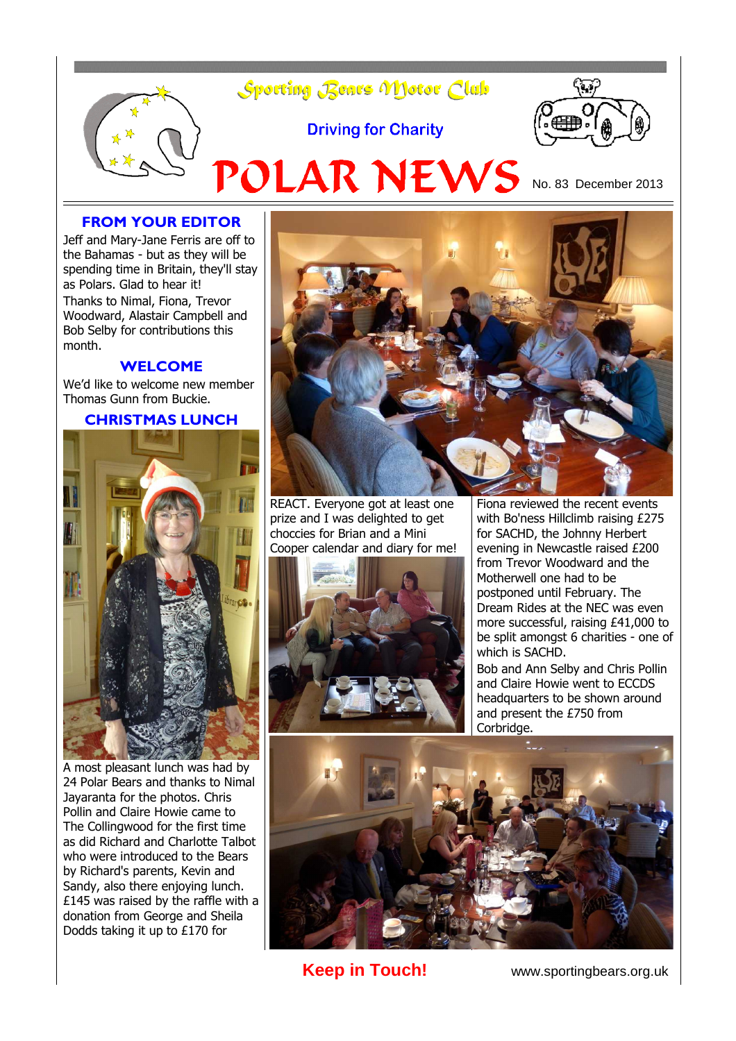

## **FROM YOUR EDITOR**

Jeff and Mary-Jane Ferris are off to the Bahamas - but as they will be spending time in Britain, they'll stay as Polars. Glad to hear it! Thanks to Nimal, Fiona, Trevor Woodward, Alastair Campbell and Bob Selby for contributions this month.

#### **WELCOME**

We'd like to welcome new member Thomas Gunn from Buckie.

#### **CHRISTMAS LUNCH**



A most pleasant lunch was had by 24 Polar Bears and thanks to Nimal Jayaranta for the photos. Chris Pollin and Claire Howie came to The Collingwood for the first time as did Richard and Charlotte Talbot who were introduced to the Bears by Richard's parents, Kevin and Sandy, also there enjoying lunch. £145 was raised by the raffle with a donation from George and Sheila Dodds taking it up to £170 for



REACT. Everyone got at least one prize and I was delighted to get choccies for Brian and a Mini Cooper calendar and diary for me!



Fiona reviewed the recent events with Bo'ness Hillclimb raising £275 for SACHD, the Johnny Herbert evening in Newcastle raised £200 from Trevor Woodward and the Motherwell one had to be postponed until February. The Dream Rides at the NEC was even more successful, raising £41,000 to be split amongst 6 charities - one of which is SACHD.

Bob and Ann Selby and Chris Pollin and Claire Howie went to ECCDS headquarters to be shown around and present the £750 from Corbridge.



**Keep in Touch!** www.sportingbears.org.uk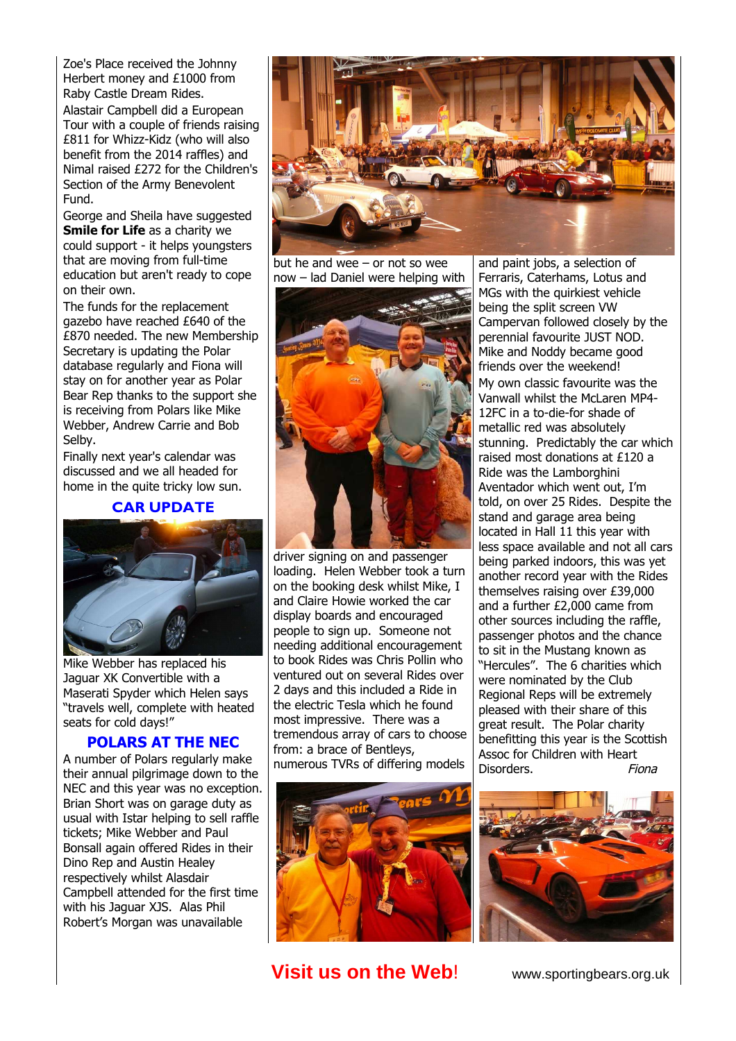Zoe's Place received the Johnny Herbert money and £1000 from Raby Castle Dream Rides.

Alastair Campbell did a European Tour with a couple of friends raising £811 for Whizz-Kidz (who will also benefit from the 2014 raffles) and Nimal raised £272 for the Children's Section of the Army Benevolent Fund.

George and Sheila have suggested **Smile for Life** as a charity we could support - it helps youngsters that are moving from full-time education but aren't ready to cope on their own.

The funds for the replacement gazebo have reached £640 of the £870 needed. The new Membership Secretary is updating the Polar database regularly and Fiona will stay on for another year as Polar Bear Rep thanks to the support she is receiving from Polars like Mike Webber, Andrew Carrie and Bob Selby.

Finally next year's calendar was discussed and we all headed for home in the quite tricky low sun.

### **CAR UPDATE**



Mike Webber has replaced his Jaguar XK Convertible with a Maserati Spyder which Helen says "travels well, complete with heated seats for cold days!"

## **POLARS AT THE NEC**

A number of Polars regularly make their annual pilgrimage down to the NEC and this year was no exception. Brian Short was on garage duty as usual with Istar helping to sell raffle tickets; Mike Webber and Paul Bonsall again offered Rides in their Dino Rep and Austin Healey respectively whilst Alasdair Campbell attended for the first time with his Jaguar XJS. Alas Phil Robert's Morgan was unavailable



but he and wee – or not so wee now – lad Daniel were helping with



driver signing on and passenger loading. Helen Webber took a turn on the booking desk whilst Mike, I and Claire Howie worked the car display boards and encouraged people to sign up. Someone not needing additional encouragement to book Rides was Chris Pollin who ventured out on several Rides over 2 days and this included a Ride in the electric Tesla which he found most impressive. There was a tremendous array of cars to choose from: a brace of Bentleys, numerous TVRs of differing models



and paint jobs, a selection of Ferraris, Caterhams, Lotus and MGs with the quirkiest vehicle being the split screen VW Campervan followed closely by the perennial favourite JUST NOD. Mike and Noddy became good friends over the weekend! My own classic favourite was the Vanwall whilst the McLaren MP4- 12FC in a to-die-for shade of metallic red was absolutely stunning. Predictably the car which raised most donations at £120 a Ride was the Lamborghini Aventador which went out, I'm told, on over 25 Rides. Despite the stand and garage area being located in Hall 11 this year with less space available and not all cars being parked indoors, this was yet another record year with the Rides themselves raising over £39,000 and a further £2,000 came from other sources including the raffle, passenger photos and the chance to sit in the Mustang known as "Hercules". The 6 charities which were nominated by the Club Regional Reps will be extremely pleased with their share of this great result. The Polar charity benefitting this year is the Scottish Assoc for Children with Heart Disorders. Fiona



## **Visit us on the Web!** www.sportingbears.org.uk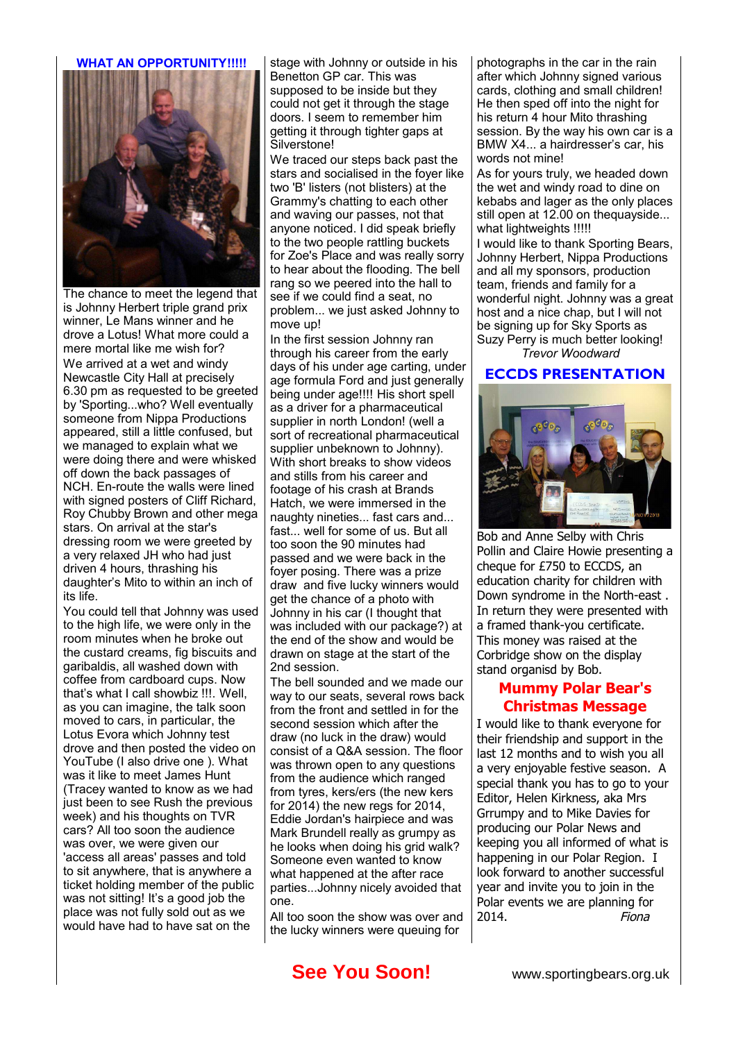#### **WHAT AN OPPORTUNITY!!!!!**



The chance to meet the legend that is Johnny Herbert triple grand prix winner, Le Mans winner and he drove a Lotus! What more could a mere mortal like me wish for? We arrived at a wet and windy Newcastle City Hall at precisely 6.30 pm as requested to be greeted by 'Sporting...who? Well eventually someone from Nippa Productions appeared, still a little confused, but we managed to explain what we were doing there and were whisked off down the back passages of NCH. En-route the walls were lined with signed posters of Cliff Richard, Roy Chubby Brown and other mega stars. On arrival at the star's dressing room we were greeted by a very relaxed JH who had just driven 4 hours, thrashing his daughter's Mito to within an inch of its life.

You could tell that Johnny was used to the high life, we were only in the room minutes when he broke out the custard creams, fig biscuits and garibaldis, all washed down with coffee from cardboard cups. Now that's what I call showbiz !!!. Well, as you can imagine, the talk soon moved to cars, in particular, the Lotus Evora which Johnny test drove and then posted the video on YouTube (I also drive one ). What was it like to meet James Hunt (Tracey wanted to know as we had just been to see Rush the previous week) and his thoughts on TVR cars? All too soon the audience was over, we were given our 'access all areas' passes and told to sit anywhere, that is anywhere a ticket holding member of the public was not sitting! It's a good job the place was not fully sold out as we would have had to have sat on the

stage with Johnny or outside in his Benetton GP car. This was supposed to be inside but they could not get it through the stage doors. I seem to remember him getting it through tighter gaps at Silverstone!

We traced our steps back past the stars and socialised in the foyer like two 'B' listers (not blisters) at the Grammy's chatting to each other and waving our passes, not that anyone noticed. I did speak briefly to the two people rattling buckets for Zoe's Place and was really sorry to hear about the flooding. The bell rang so we peered into the hall to see if we could find a seat, no problem... we just asked Johnny to move up!

In the first session Johnny ran through his career from the early days of his under age carting, under age formula Ford and just generally being under age!!!! His short spell as a driver for a pharmaceutical supplier in north London! (well a sort of recreational pharmaceutical supplier unbeknown to Johnny). With short breaks to show videos and stills from his career and footage of his crash at Brands Hatch, we were immersed in the naughty nineties... fast cars and... fast... well for some of us. But all too soon the 90 minutes had passed and we were back in the foyer posing. There was a prize draw and five lucky winners would get the chance of a photo with Johnny in his car (I thought that was included with our package?) at the end of the show and would be drawn on stage at the start of the 2nd session.

The bell sounded and we made our way to our seats, several rows back from the front and settled in for the second session which after the draw (no luck in the draw) would consist of a Q&A session. The floor was thrown open to any questions from the audience which ranged from tyres, kers/ers (the new kers for 2014) the new regs for 2014, Eddie Jordan's hairpiece and was Mark Brundell really as grumpy as he looks when doing his grid walk? Someone even wanted to know what happened at the after race parties...Johnny nicely avoided that one.

All too soon the show was over and the lucky winners were queuing for

photographs in the car in the rain after which Johnny signed various cards, clothing and small children! He then sped off into the night for his return 4 hour Mito thrashing session. By the way his own car is a BMW X4... a hairdresser's car, his words not mine!

As for yours truly, we headed down the wet and windy road to dine on kebabs and lager as the only places still open at 12.00 on thequayside... what lightweights !!!!!

I would like to thank Sporting Bears, Johnny Herbert, Nippa Productions and all my sponsors, production team, friends and family for a wonderful night. Johnny was a great host and a nice chap, but I will not be signing up for Sky Sports as Suzy Perry is much better looking! *Trevor Woodward*

#### **ECCDS PRESENTATION**



Bob and Anne Selby with Chris Pollin and Claire Howie presenting a cheque for £750 to ECCDS, an education charity for children with Down syndrome in the North-east . In return they were presented with a framed thank-you certificate. This money was raised at the Corbridge show on the display stand organisd by Bob.

## **Mummy Polar Bear's Christmas Message**

I would like to thank everyone for their friendship and support in the last 12 months and to wish you all a very enjoyable festive season. A special thank you has to go to your Editor, Helen Kirkness, aka Mrs Grrumpy and to Mike Davies for producing our Polar News and keeping you all informed of what is happening in our Polar Region. I look forward to another successful year and invite you to join in the Polar events we are planning for 2014. Fiona